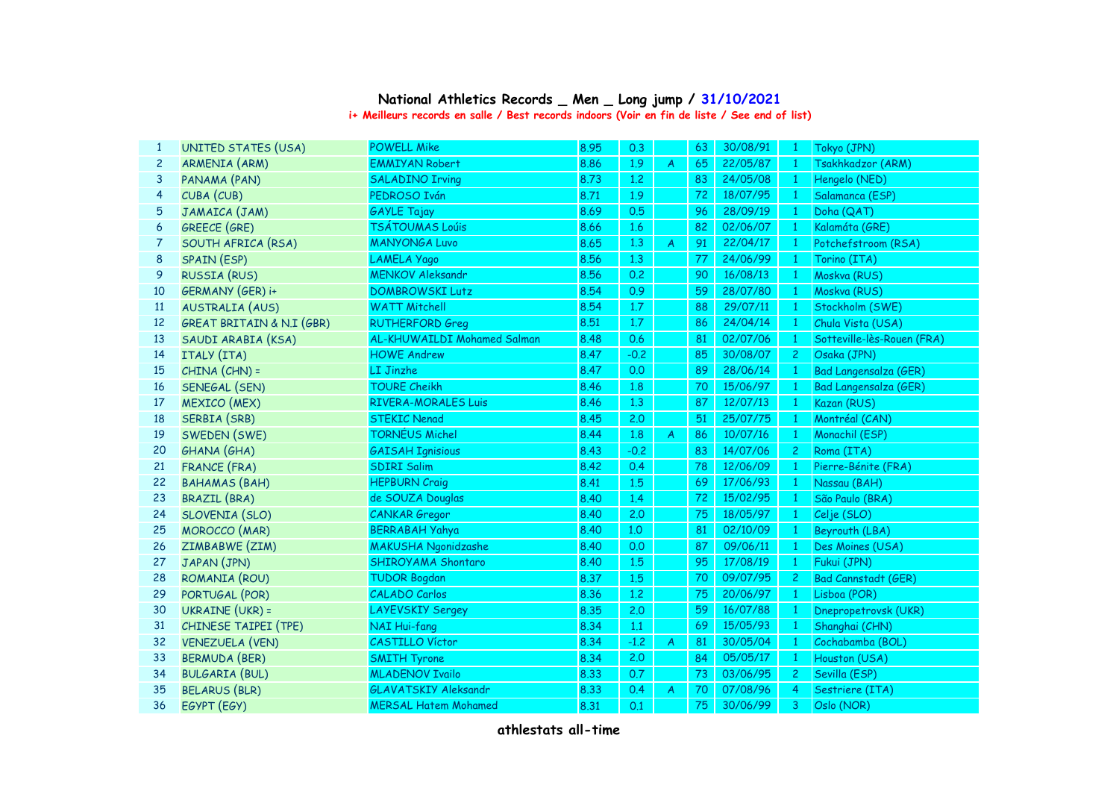## **i+ Meilleurs records en salle / Best records indoors (Voir en fin de liste / See end of list) National Athletics Records \_ Men \_ Long jump / 31/10/2021**

| $\mathbf{1}$   | UNITED STATES (USA)                  | <b>POWELL Mike</b>          | 8.95 | 0.3    |                | 63 | 30/08/91 | -1              | Tokyo (JPN)                  |
|----------------|--------------------------------------|-----------------------------|------|--------|----------------|----|----------|-----------------|------------------------------|
| $\overline{2}$ | <b>ARMENIA (ARM)</b>                 | <b>EMMIYAN Robert</b>       | 8.86 | 1.9    | A              | 65 | 22/05/87 | $\mathbf{1}$    | Tsakhkadzor (ARM)            |
| 3              | PANAMA (PAN)                         | <b>SALADINO Irving</b>      | 8.73 | 1.2    |                | 83 | 24/05/08 | $\mathbf{1}$    | Hengelo (NED)                |
| $\overline{4}$ | CUBA (CUB)                           | PEDROSO Iván                | 8.71 | 1.9    |                | 72 | 18/07/95 | $\mathbf{1}$    | Salamanca (ESP)              |
| 5              | JAMAICA (JAM)                        | <b>GAYLE Tajay</b>          | 8.69 | 0.5    |                | 96 | 28/09/19 | $\mathbf{1}$    | Doha (QAT)                   |
| 6              | <b>GREECE (GRE)</b>                  | <b>TSÁTOUMAS Loúis</b>      | 8.66 | 1.6    |                | 82 | 02/06/07 | $\mathbf{1}$    | Kalamáta (GRE)               |
| 7              | SOUTH AFRICA (RSA)                   | <b>MANYONGA Luvo</b>        | 8.65 | 1.3    | $\overline{A}$ | 91 | 22/04/17 | $\mathbf{1}$    | Potchefstroom (RSA)          |
| 8              | SPAIN (ESP)                          | LAMELA Yago                 | 8.56 | 1.3    |                | 77 | 24/06/99 | $\mathbf{1}$    | Torino (ITA)                 |
| 9              | <b>RUSSIA (RUS)</b>                  | <b>MENKOV Aleksandr</b>     | 8.56 | 0.2    |                | 90 | 16/08/13 | $\blacklozenge$ | Moskva (RUS)                 |
| 10             | GERMANY (GER) i+                     | <b>DOMBROWSKI Lutz</b>      | 8.54 | 0.9    |                | 59 | 28/07/80 | $\mathbf{1}$    | Moskva (RUS)                 |
| 11             | <b>AUSTRALIA (AUS)</b>               | <b>WATT Mitchell</b>        | 8.54 | 1.7    |                | 88 | 29/07/11 | $\mathbf{1}$    | Stockholm (SWE)              |
| 12             | <b>GREAT BRITAIN &amp; N.I (GBR)</b> | <b>RUTHERFORD Greg</b>      | 8.51 | 1.7    |                | 86 | 24/04/14 | $\mathbf{1}$    | Chula Vista (USA)            |
| 13             | SAUDI ARABIA (KSA)                   | AL-KHUWAILDI Mohamed Salman | 8.48 | 0.6    |                | 81 | 02/07/06 | $\mathbf{1}$    | Sotteville-lès-Rouen (FRA)   |
| 14             | ITALY (ITA)                          | <b>HOWE Andrew</b>          | 8.47 | $-0.2$ |                | 85 | 30/08/07 | $\overline{c}$  | Osaka (JPN)                  |
| 15             | CHINA (CHN) =                        | LI Jinzhe                   | 8.47 | 0.0    |                | 89 | 28/06/14 | $\mathbf{1}$    | <b>Bad Langensalza (GER)</b> |
| 16             | SENEGAL (SEN)                        | <b>TOURE Cheikh</b>         | 8.46 | 1.8    |                | 70 | 15/06/97 | $\mathbf{1}$    | <b>Bad Langensalza (GER)</b> |
| 17             | <b>MEXICO</b> (MEX)                  | <b>RIVERA-MORALES Luis</b>  | 8.46 | 1.3    |                | 87 | 12/07/13 | 1               | Kazan (RUS)                  |
| 18             | SERBIA (SRB)                         | <b>STEKIC Nenad</b>         | 8.45 | 2.0    |                | 51 | 25/07/75 | $\mathbf{1}$    | Montréal (CAN)               |
| 19             | SWEDEN (SWE)                         | <b>TORNÉUS Michel</b>       | 8.44 | 1.8    | A              | 86 | 10/07/16 | $\mathbf{1}$    | Monachil (ESP)               |
| 20             | <b>GHANA</b> (GHA)                   | <b>GAISAH Ignisious</b>     | 8.43 | $-0.2$ |                | 83 | 14/07/06 | $\overline{2}$  | Roma (ITA)                   |
| 21             | <b>FRANCE (FRA)</b>                  | <b>SDIRI Salim</b>          | 8.42 | 0.4    |                | 78 | 12/06/09 | $\mathbf{1}$    | Pierre-Bénite (FRA)          |
| 22             | <b>BAHAMAS (BAH)</b>                 | <b>HEPBURN Craig</b>        | 8.41 | 1.5    |                | 69 | 17/06/93 | $\mathbf{1}$    | Nassau (BAH)                 |
| 23             | <b>BRAZIL (BRA)</b>                  | de SOUZA Douglas            | 8.40 | 1.4    |                | 72 | 15/02/95 | $\overline{1}$  | São Paulo (BRA)              |
| 24             | SLOVENIA (SLO)                       | <b>CANKAR</b> Gregor        | 8.40 | 2.0    |                | 75 | 18/05/97 | $\mathbf{1}$    | Celje (SLO)                  |
| 25             | <b>MOROCCO</b> (MAR)                 | <b>BERRABAH Yahya</b>       | 8.40 | 1,0    |                | 81 | 02/10/09 | $\mathbf{1}$    | Beyrouth (LBA)               |
| 26             | ZIMBABWE (ZIM)                       | <b>MAKUSHA Ngonidzashe</b>  | 8.40 | 0.0    |                | 87 | 09/06/11 | $\mathbf{1}$    | Des Moines (USA)             |
| 27             | JAPAN (JPN)                          | SHIROYAMA Shontaro          | 8.40 | 1.5    |                | 95 | 17/08/19 | $\mathbf{1}$    | Fukui (JPN)                  |
| 28             | ROMANIA (ROU)                        | <b>TUDOR Bogdan</b>         | 8.37 | 1.5    |                | 70 | 09/07/95 | $\overline{2}$  | <b>Bad Cannstadt (GER)</b>   |
| 29             | PORTUGAL (POR)                       | <b>CALADO Carlos</b>        | 8.36 | 1,2    |                | 75 | 20/06/97 | $\mathbf{1}$    | Lisboa (POR)                 |
| 30             | <b>UKRAINE (UKR) =</b>               | <b>LAYEVSKIY Sergey</b>     | 8.35 | 2.0    |                | 59 | 16/07/88 | $\mathbf{1}$    | Dnepropetrovsk (UKR)         |
| 31             | CHINESE TAIPEI (TPE)                 | <b>NAI Hui-fang</b>         | 8.34 | $1.1$  |                | 69 | 15/05/93 | $\mathbf{1}$    | Shanghai (CHN)               |
| 32             | <b>VENEZUELA (VEN)</b>               | CASTILLO Víctor             | 8.34 | $-1.2$ | A              | 81 | 30/05/04 | $\mathbf{1}$    | Cochabamba (BOL)             |
| 33             | <b>BERMUDA (BER)</b>                 | <b>SMITH Tyrone</b>         | 8.34 | 2.0    |                | 84 | 05/05/17 | $\mathbf{1}$    | Houston (USA)                |
| 34             | <b>BULGARIA (BUL)</b>                | <b>MLADENOV Ivailo</b>      | 8.33 | 0.7    |                | 73 | 03/06/95 | 2 <sup>1</sup>  | Sevilla (ESP)                |
| 35             | <b>BELARUS (BLR)</b>                 | <b>GLAVATSKIY Aleksandr</b> | 8.33 | 0.4    | A              | 70 | 07/08/96 | $\overline{4}$  | Sestriere (ITA)              |
| 36             | EGYPT (EGY)                          | <b>MERSAL Hatem Mohamed</b> | 8.31 | 0.1    |                | 75 | 30/06/99 | 3               | Oslo (NOR)                   |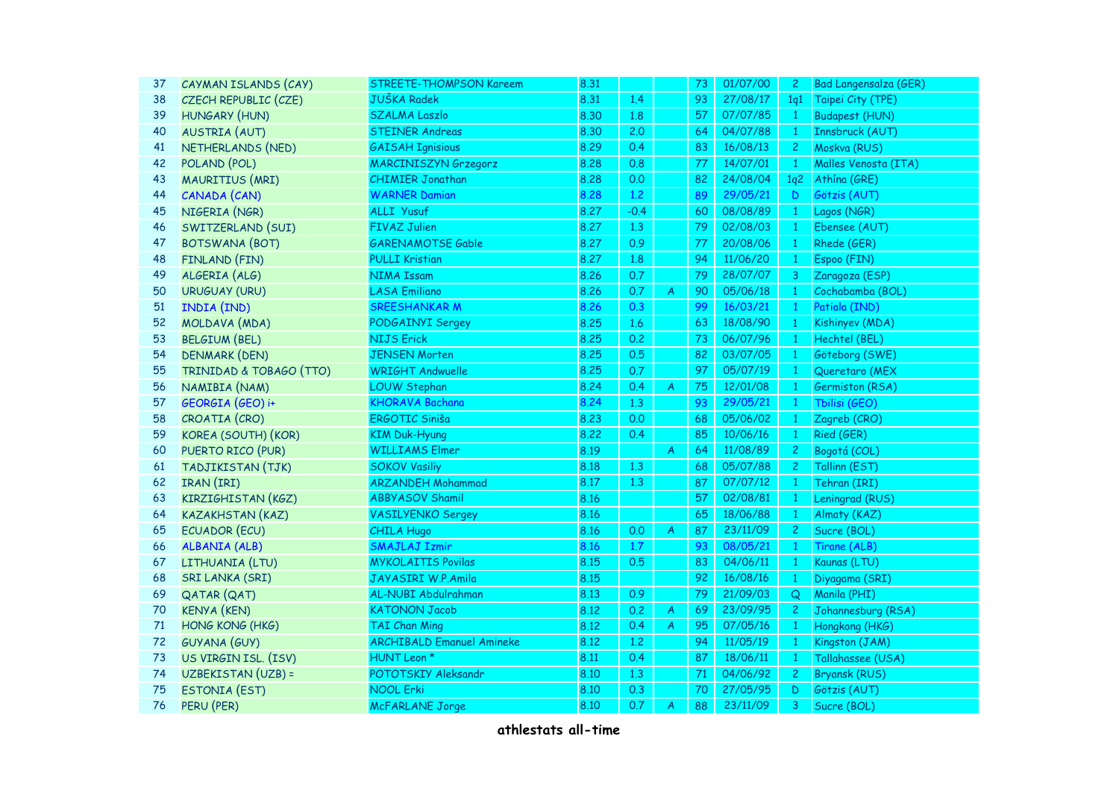| 37 | CAYMAN ISLANDS (CAY)      | STREETE-THOMPSON Kareem          | 8.31 |        |                           | 73 | 01/07/00 | $\mathbf{2}$   | <b>Bad Langensalza (GER)</b> |
|----|---------------------------|----------------------------------|------|--------|---------------------------|----|----------|----------------|------------------------------|
| 38 | CZECH REPUBLIC (CZE)      | <b>JUŠKA Radek</b>               | 8.31 | 1.4    |                           | 93 | 27/08/17 | 1q1            | Taipei City (TPE)            |
| 39 | <b>HUNGARY (HUN)</b>      | <b>SZALMA Laszlo</b>             | 8.30 | 1.8    |                           | 57 | 07/07/85 | $1 -$          | <b>Budapest (HUN)</b>        |
| 40 | <b>AUSTRIA (AUT)</b>      | <b>STEINER Andreas</b>           | 8.30 | 2.0    |                           | 64 | 04/07/88 | $\mathbf{1}$   | Innsbruck (AUT)              |
| 41 | NETHERLANDS (NED)         | <b>GAISAH Ignisious</b>          | 8.29 | 0.4    |                           | 83 | 16/08/13 | $\overline{c}$ | Moskva (RUS)                 |
| 42 | POLAND (POL)              | <b>MARCINISZYN Grzegorz</b>      | 8.28 | 0.8    |                           | 77 | 14/07/01 | $\mathbf{1}$   | Malles Venosta (ITA)         |
| 43 | MAURITIUS (MRI)           | <b>CHIMIER Jonathan</b>          | 8.28 | 0.0    |                           | 82 | 24/08/04 | 1q2            | Athína (GRE)                 |
| 44 | CANADA (CAN)              | <b>WARNER Damian</b>             | 8.28 | 1.2    |                           | 89 | 29/05/21 | $\mathsf D$    | Götzis (AUT)                 |
| 45 | NIGERIA (NGR)             | ALLI Yusuf                       | 8.27 | $-0.4$ |                           | 60 | 08/08/89 | $\mathbf{1}$   | Lagos (NGR)                  |
| 46 | SWITZERLAND (SUI)         | <b>FIVAZ Julien</b>              | 8.27 | 1.3    |                           | 79 | 02/08/03 | $\mathbf{1}$   | Ebensee (AUT)                |
| 47 | <b>BOTSWANA (BOT)</b>     | <b>GARENAMOTSE Gable</b>         | 8.27 | 0.9    |                           | 77 | 20/08/06 | $\bullet$      | Rhede (GER)                  |
| 48 | FINLAND (FIN)             | <b>PULLI Kristian</b>            | 8.27 | 1.8    |                           | 94 | 11/06/20 | $\mathbf{1}$   | Espoo (FIN)                  |
| 49 | ALGERIA (ALG)             | <b>NIMA Issam</b>                | 8.26 | 0.7    |                           | 79 | 28/07/07 | 3              | Zaragoza (ESP)               |
| 50 | <b>URUGUAY (URU)</b>      | <b>LASA Emiliano</b>             | 8.26 | 0.7    | A                         | 90 | 05/06/18 | -1             | Cochabamba (BOL)             |
| 51 | INDIA (IND)               | <b>SREESHANKAR M</b>             | 8.26 | 0.3    |                           | 99 | 16/03/21 | $\mathbf{1}$   | Patiala (IND)                |
| 52 | MOLDAVA (MDA)             | PODGAINYI Sergey                 | 8.25 | 1.6    |                           | 63 | 18/08/90 | $\mathbf{1}$   | Kishinyev (MDA)              |
| 53 | <b>BELGIUM (BEL)</b>      | <b>NIJS Erick</b>                | 8.25 | 0.2    |                           | 73 | 06/07/96 | $\mathbf{1}$   | Hechtel (BEL)                |
| 54 | <b>DENMARK (DEN)</b>      | <b>JENSEN Morten</b>             | 8.25 | 0.5    |                           | 82 | 03/07/05 | $\mathbf{1}$   | Göteborg (SWE)               |
| 55 | TRINIDAD & TOBAGO (TTO)   | <b>WRIGHT Andwuelle</b>          | 8.25 | 0.7    |                           | 97 | 05/07/19 | $\bullet$      | Queretaro (MEX               |
| 56 | NAMIBIA (NAM)             | <b>LOUW Stephan</b>              | 8.24 | 0.4    | A                         | 75 | 12/01/08 | $\mathbf{1}$   | Germiston (RSA)              |
| 57 | GEORGIA (GEO) i+          | <b>KHORAVA Bachana</b>           | 8.24 | 1.3    |                           | 93 | 29/05/21 | $\mathbf{1}$   | Tbilisi (GEO)                |
| 58 | CROATIA (CRO)             | ERGOTIC Siniša                   | 8.23 | 0.0    |                           | 68 | 05/06/02 | $\mathbf{1}$   | Zagreb (CRO)                 |
| 59 | KOREA (SOUTH) (KOR)       | <b>KIM Duk-Hyung</b>             | 8.22 | 0.4    |                           | 85 | 10/06/16 | $\mathbf{1}$   | Ried (GER)                   |
| 60 | PUERTO RICO (PUR)         | <b>WILLIAMS Elmer</b>            | 8.19 |        | $\boldsymbol{\mathsf{A}}$ | 64 | 11/08/89 | $\mathbf{2}$   | Bogotá (COL)                 |
| 61 | TADJIKISTAN (TJK)         | <b>SOKOV Vasiliy</b>             | 8.18 | 1.3    |                           | 68 | 05/07/88 | $\overline{2}$ | Tallinn (EST)                |
| 62 | IRAN (IRI)                | <b>ARZANDEH Mohammad</b>         | 8.17 | 1.3    |                           | 87 | 07/07/12 | $\mathbf{1}$   | Tehran (IRI)                 |
| 63 | KIRZIGHISTAN (KGZ)        | <b>ABBYASOV Shamil</b>           | 8.16 |        |                           | 57 | 02/08/81 | $\mathbf{1}$   | Leningrad (RUS)              |
| 64 | <b>KAZAKHSTAN (KAZ)</b>   | <b>VASILYENKO Sergey</b>         | 8.16 |        |                           | 65 | 18/06/88 | $\mathbf{1}$   | Almaty (KAZ)                 |
| 65 | <b>ECUADOR (ECU)</b>      | <b>CHILA Hugo</b>                | 8.16 | 0.0    | A                         | 87 | 23/11/09 | $\overline{c}$ | Sucre (BOL)                  |
| 66 | <b>ALBANIA (ALB)</b>      | <b>SMAJLAJ Izmir</b>             | 8.16 | 1.7    |                           | 93 | 08/05/21 | $\mathbf{1}$   | Tirane (ALB)                 |
| 67 | LITHUANIA (LTU)           | <b>MYKOLAITIS Povilas</b>        | 8.15 | 0.5    |                           | 83 | 04/06/11 | $\mathbf{1}$   | Kaunas (LTU)                 |
| 68 | <b>SRI LANKA (SRI)</b>    | JAYASIRI W.P.Amila               | 8.15 |        |                           | 92 | 16/08/16 | $\blacksquare$ | Diyagama (SRI)               |
| 69 | <b>QATAR (QAT)</b>        | AL-NUBI Abdulrahman              | 8.13 | 0.9    |                           | 79 | 21/09/03 | Q              | Manila (PHI)                 |
| 70 | <b>KENYA (KEN)</b>        | <b>KATONON Jacob</b>             | 8.12 | 0.2    | A                         | 69 | 23/09/95 | $2^{\circ}$    | Johannesburg (RSA)           |
| 71 | HONG KONG (HKG)           | <b>TAI Chan Ming</b>             | 8.12 | 0.4    | A                         | 95 | 07/05/16 | $\mathbf{1}$   | Hongkong (HKG)               |
| 72 | <b>GUYANA (GUY)</b>       | <b>ARCHIBALD Emanuel Amineke</b> | 8.12 | 1.2    |                           | 94 | 11/05/19 | $\mathbf{1}$   | Kingston (JAM)               |
| 73 | US VIRGIN ISL. (ISV)      | HUNT Leon *                      | 8.11 | 0.4    |                           | 87 | 18/06/11 | $\mathbf{1}$   | Tallahassee (USA)            |
| 74 | <b>UZBEKISTAN (UZB) =</b> | POTOTSKIY Aleksandr              | 8.10 | 1.3    |                           | 71 | 04/06/92 | $\mathbf{2}$   | <b>Bryansk (RUS)</b>         |
| 75 | <b>ESTONIA (EST)</b>      | <b>NOOL Erki</b>                 | 8.10 | 0.3    |                           | 70 | 27/05/95 | D              | Götzis (AUT)                 |
| 76 | PERU (PER)                | <b>McFARLANE Jorge</b>           | 8.10 | 0.7    | A                         | 88 | 23/11/09 | 3              | Sucre (BOL)                  |
|    |                           |                                  |      |        |                           |    |          |                |                              |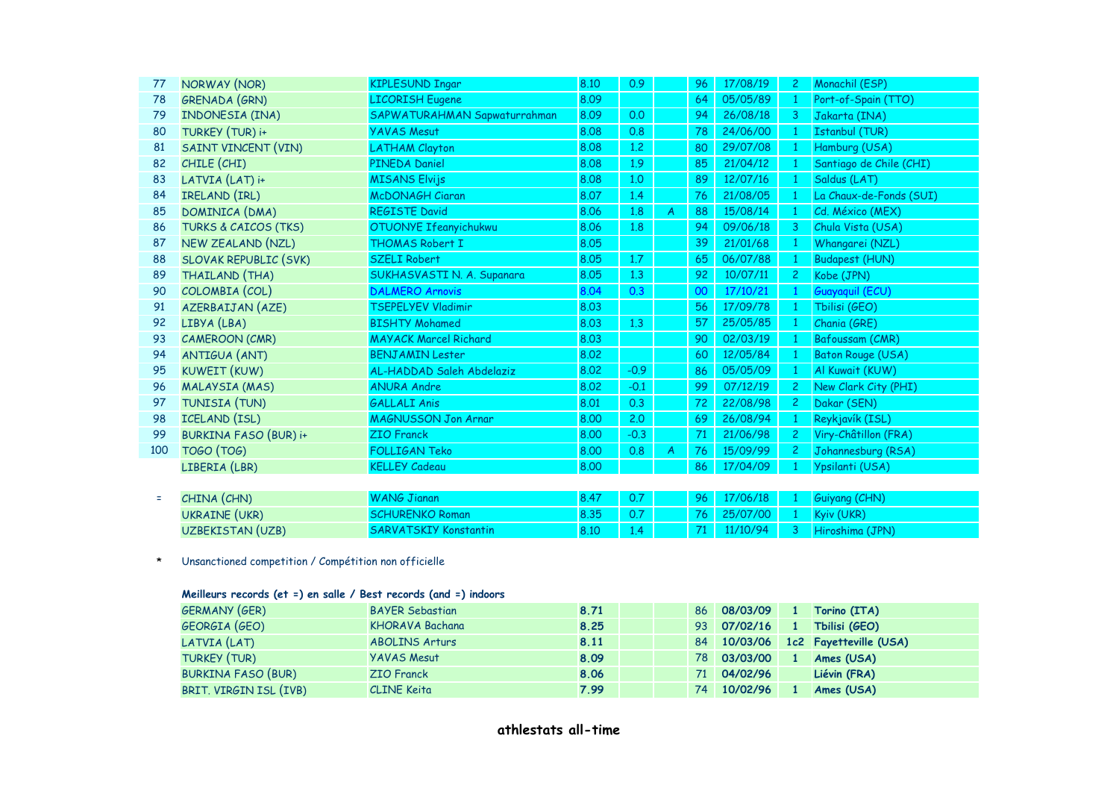| 77  | NORWAY (NOR)                    | <b>KIPLESUND Ingar</b>       | 8.10 | 0.9    |   | 96 | 17/08/19 | $\overline{c}$ | Monachil (ESP)          |
|-----|---------------------------------|------------------------------|------|--------|---|----|----------|----------------|-------------------------|
| 78  | GRENADA (GRN)                   | <b>LICORISH Eugene</b>       | 8.09 |        |   | 64 | 05/05/89 | 1              | Port-of-Spain (TTO)     |
| 79  | INDONESIA (INA)                 | SAPWATURAHMAN Sapwaturrahman | 8.09 | 0.0    |   | 94 | 26/08/18 | 3              | Jakarta (INA)           |
| 80  | TURKEY (TUR) i+                 | <b>YAVAS Mesut</b>           | 8.08 | 0.8    |   | 78 | 24/06/00 | 1              | <b>Istanbul (TUR)</b>   |
| 81  | SAINT VINCENT (VIN)             | <b>LATHAM Clayton</b>        | 8.08 | 1,2    |   | 80 | 29/07/08 |                | Hamburg (USA)           |
| 82  | CHILE (CHI)                     | <b>PINEDA Daniel</b>         | 8.08 | 1.9    |   | 85 | 21/04/12 | -1             | Santiago de Chile (CHI) |
| 83  | LATVIA (LAT) i+                 | <b>MISANS Elvijs</b>         | 8.08 | 1,0    |   | 89 | 12/07/16 | 1              | Saldus (LAT)            |
| 84  | IRELAND (IRL)                   | <b>McDONAGH Ciaran</b>       | 8.07 | 1.4    |   | 76 | 21/08/05 | 1              | La Chaux-de-Fonds (SUI) |
| 85  | DOMINICA (DMA)                  | <b>REGISTE David</b>         | 8.06 | 1.8    | A | 88 | 15/08/14 | 1              | Cd. México (MEX)        |
| 86  | <b>TURKS &amp; CAICOS (TKS)</b> | OTUONYE Ifeanyichukwu        | 8.06 | 1.8    |   | 94 | 09/06/18 | 3              | Chula Vista (USA)       |
| 87  | NEW ZEALAND (NZL)               | <b>THOMAS Robert I</b>       | 8.05 |        |   | 39 | 21/01/68 | 1              | Whangarei (NZL)         |
| 88  | <b>SLOVAK REPUBLIC (SVK)</b>    | <b>SZELI Robert</b>          | 8.05 | 1.7    |   | 65 | 06/07/88 | -1             | <b>Budapest (HUN)</b>   |
| 89  | THAILAND (THA)                  | SUKHASVASTI N. A. Supanara   | 8.05 | 1.3    |   | 92 | 10/07/11 | $\overline{c}$ | Kobe (JPN)              |
| 90  | COLOMBIA (COL)                  | <b>DALMERO Arnovis</b>       | 8.04 | 0.3    |   | 00 | 17/10/21 |                | Guayaquil (ECU)         |
| 91  | AZERBAIJAN (AZE)                | <b>TSEPELYEV Vladimir</b>    | 8.03 |        |   | 56 | 17/09/78 |                | Tbilisi (GEO)           |
| 92  | LIBYA (LBA)                     | <b>BISHTY Mohamed</b>        | 8.03 | 1,3    |   | 57 | 25/05/85 | $\mathbf{1}$   | Chania (GRE)            |
| 93  | CAMEROON (CMR)                  | <b>MAYACK Marcel Richard</b> | 8.03 |        |   | 90 | 02/03/19 | $\mathbf{1}$   | Bafoussam (CMR)         |
| 94  | ANTIGUA (ANT)                   | <b>BENJAMIN Lester</b>       | 8.02 |        |   | 60 | 12/05/84 | $\mathbf{1}$   | Baton Rouge (USA)       |
| 95  | KUWEIT (KUW)                    | AL-HADDAD Saleh Abdelaziz    | 8.02 | $-0.9$ |   | 86 | 05/05/09 | 1              | Al Kuwait (KUW)         |
| 96  | MALAYSIA (MAS)                  | <b>ANURA Andre</b>           | 8.02 | $-0.1$ |   | 99 | 07/12/19 | $\overline{c}$ | New Clark City (PHI)    |
| 97  | TUNISIA (TUN)                   | <b>GALLALI Anis</b>          | 8.01 | 0.3    |   | 72 | 22/08/98 | $\overline{c}$ | Dakar (SEN)             |
| 98  | ICELAND (ISL)                   | <b>MAGNUSSON Jon Arnar</b>   | 8.00 | 2.0    |   | 69 | 26/08/94 | -1             | Reykjavík (ISL)         |
| 99  | <b>BURKINA FASO (BUR) i+</b>    | <b>ZIO</b> Franck            | 8.00 | $-0.3$ |   | 71 | 21/06/98 | $\overline{2}$ | Viry-Châtillon (FRA)    |
| 100 | <b>TOGO (TOG)</b>               | <b>FOLLIGAN Teko</b>         | 8.00 | 0.8    | A | 76 | 15/09/99 | $\overline{c}$ | Johannesburg (RSA)      |
|     | LIBERIA (LBR)                   | <b>KELLEY Cadeau</b>         | 8.00 |        |   | 86 | 17/04/09 |                | Ypsilanti (USA)         |
|     |                                 |                              |      |        |   |    |          |                |                         |
| Ξ   | CHINA (CHN)                     | <b>WANG Jianan</b>           | 8.47 | 0.7    |   | 96 | 17/06/18 |                | Guiyang (CHN)           |

| CHINA (CHN)      | WANG Jianan                  |  |  |                          | $\sqrt{96}$ 17/06/18 1 Guiyang (CHN)                                                |
|------------------|------------------------------|--|--|--------------------------|-------------------------------------------------------------------------------------|
| UKRAINE (UKR)    | <b>SCHURENKO Roman</b>       |  |  | 76 25/07/00 1 Kyiv (UKR) |                                                                                     |
| UZBEKISTAN (UZB) | <b>SARVATSKIY Konstantin</b> |  |  |                          | $\begin{array}{ c c c c c c c c } \hline \end{array}$ 71 11/10/94 3 Hiroshima (JPN) |

\* Unsanctioned competition / Compétition non officielle

## **Meilleurs records (et =) en salle / Best records (and =) indoors**

| GERMANY (GER)             | <b>BAYER Sebastian</b> | 8.71 | 86              | 08/03/09 | Torino (ITA)           |
|---------------------------|------------------------|------|-----------------|----------|------------------------|
| GEORGIA (GEO)             | <b>KHORAVA Bachana</b> | 8.25 | 93 <sup>°</sup> | 07/02/16 | Tbilisi (GEO)          |
| LATVIA(LAT)               | <b>ABOLINS Arturs</b>  | 8.11 | 84              | 10/03/06 | 1c2 Fayetteville (USA) |
| TURKEY (TUR)              | <b>YAVAS Mesut</b>     | 8.09 | 78              | 03/03/00 | Ames (USA)             |
| <b>BURKINA FASO (BUR)</b> | <b>ZIO</b> Franck      | 8.06 | 71              | 04/02/96 | Liévin (FRA)           |
| BRIT. VIRGIN ISL (IVB)    | <b>CLINE</b> Keita     | 7.99 | 74.             | 10/02/96 | Ames (USA)             |